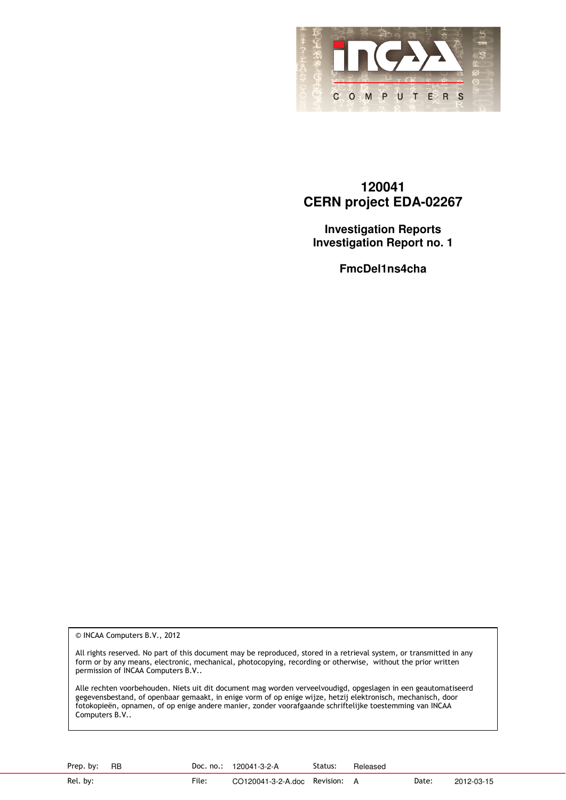

#### **120041 CERN project EDA-02267**

**Investigation Reports Investigation Report no. 1** 

**FmcDel1ns4cha** 

© INCAA Computers B.V., 2012

All rights reserved. No part of this document may be reproduced, stored in a retrieval system, or transmitted in any form or by any means, electronic, mechanical, photocopying, recording or otherwise, without the prior written permission of INCAA Computers B.V..

Alle rechten voorbehouden. Niets uit dit document mag worden verveelvoudigd, opgeslagen in een geautomatiseerd gegevensbestand, of openbaar gemaakt, in enige vorm of op enige wijze, hetzij elektronisch, mechanisch, door fotokopieën, opnamen, of op enige andere manier, zonder voorafgaande schriftelijke toestemming van INCAA Computers B.V..

Prep. by: RB Doc. no.: 120041-3-2-A Status: Released

Rel. by: File: CO120041-3-2-A.doc Revision: A Date: 2012-03-15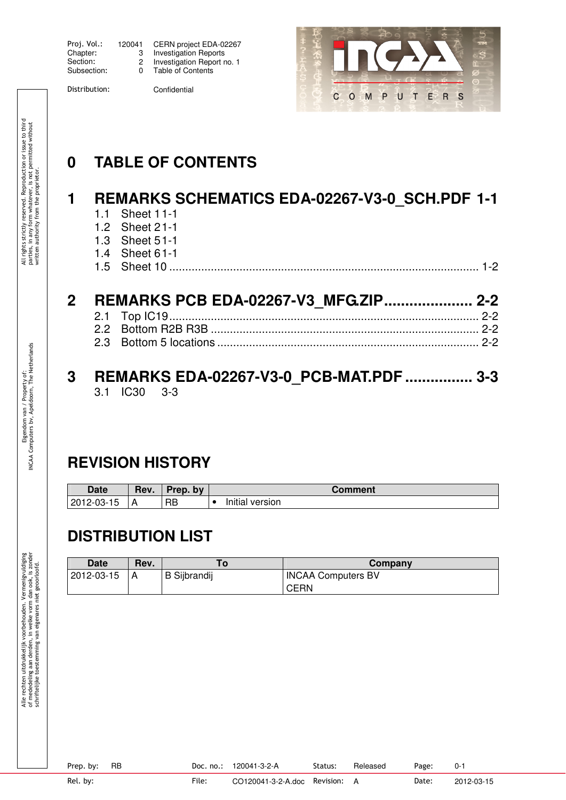| Proj. Vol.: | 1200 |
|-------------|------|
| Chapter:    |      |
| Section:    |      |
| Subsection: |      |

| Proj. Vol.: | 120041 | CERN project EDA-02267       |
|-------------|--------|------------------------------|
| Chapter:    |        | <b>Investigation Reports</b> |
| Section:    |        | Investigation Report no. 1   |
| Subsection: | 0      | Table of Contents            |

Distribution: Confidential



# **0 TABLE OF CONTENTS**

#### **1 REMARKS SCHEMATICS EDA-02267-V3-0\_SCH.PDF 1-1** 1.1 Sheet 1 1-1

- 
- 1.2 Sheet 2 1-1
- 1.3 Sheet 5 1-1
- 1.4 Sheet 6 1-1

| $\blacksquare$ | <b>DIECL</b> |  |  |  |
|----------------|--------------|--|--|--|
|----------------|--------------|--|--|--|

## **2 REMARKS PCB EDA-02267-V3\_MFG.ZIP..................... 2-2**

2.1 Top IC19................................................................................................. 2-2 2.2 Bottom R2B R3B .................................................................................... 2-2 2.3 Bottom 5 locations .................................................................................. 2-2

# **3 REMARKS EDA-02267-V3-0\_PCB-MAT.PDF ................ 3-3**<br>3.1 **IC30** 3-3

 $3.1$  IC30

## **REVISION HISTORY**

| <b>Date</b>        | Rev. | Prep.<br>bv | Comment         |
|--------------------|------|-------------|-----------------|
| $2012 -$<br>2-03-1 | А    | RB          | Initial version |

## **DISTRIBUTION LIST**

| <b>Date</b> | Rev. |                     | Company                   |
|-------------|------|---------------------|---------------------------|
| 2012-03-15  |      | <b>B</b> Sijbrandij | <b>INCAA Computers BV</b> |
|             |      |                     | <b>CERN</b>               |

Eigendom van / Property of: INCAA Computers bv, Apeldoorn, The Netherlands

Eigendom van / Property of:<br>NCAA Computers bv, Apeldoorn, The Netherlands

All rights strictly reserved. Reproduction or issue to third parties, in any form whatever, is not permitted without

All rights strictly reserved. Reproduction or issue to third<br>parties, in any form whatever, is not permitted without<br>written authority from the proprietor.

written authority from the proprietor.

Prep. by: RB Doc. no.: 120041-3-2-A Status: Released Page: 0-1

Rel. by: File: CO120041-3-2-A.doc Revision: A Date: 2012-03-15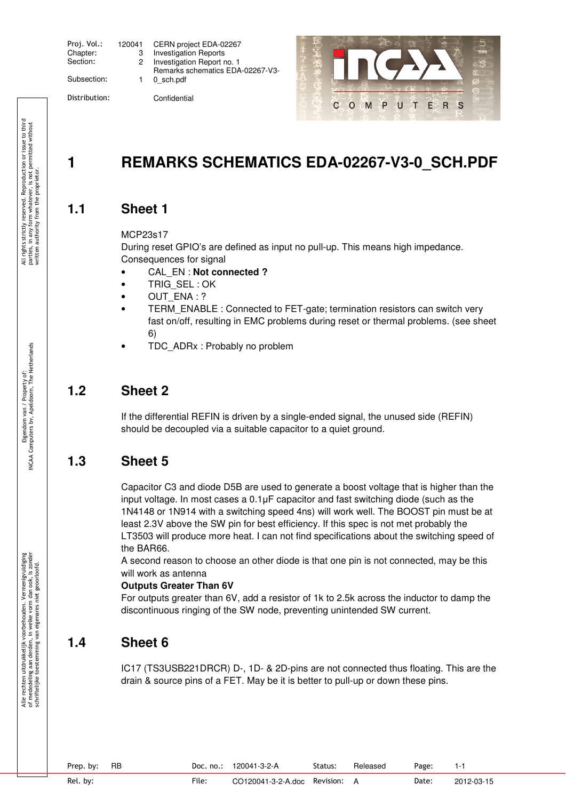| Proj. Vol.:<br>Chapter:<br>Section: | 120 |
|-------------------------------------|-----|
| Subsection:                         |     |

| Proj. Vol.: | 120041 | CERN project EDA-02267           |
|-------------|--------|----------------------------------|
| Chapter:    |        | <b>Investigation Reports</b>     |
| Section:    |        | Investigation Report no. 1       |
|             |        | Remarks schematics EDA-02267-V3- |
| Subsection: |        | 0 sch.pdf                        |
|             |        |                                  |

Distribution: Confidential



## **1 REMARKS SCHEMATICS EDA-02267-V3-0\_SCH.PDF**

#### **1.1 Sheet 1**

#### MCP23s17

During reset GPIO's are defined as input no pull-up. This means high impedance. Consequences for signal

- CAL\_EN : **Not connected ?**
- TRIG SEL: OK
- OUT ENA : ?
- TERM\_ENABLE : Connected to FET-gate; termination resistors can switch very fast on/off, resulting in EMC problems during reset or thermal problems. (see sheet 6)
- TDC ADRx : Probably no problem

#### **1.2 Sheet 2**

If the differential REFIN is driven by a single-ended signal, the unused side (REFIN) should be decoupled via a suitable capacitor to a quiet ground.

### **1.3 Sheet 5**

Capacitor C3 and diode D5B are used to generate a boost voltage that is higher than the input voltage. In most cases a 0.1µF capacitor and fast switching diode (such as the 1N4148 or 1N914 with a switching speed 4ns) will work well. The BOOST pin must be at least 2.3V above the SW pin for best efficiency. If this spec is not met probably the LT3503 will produce more heat. I can not find specifications about the switching speed of the BAR66.

A second reason to choose an other diode is that one pin is not connected, may be this will work as antenna

#### **Outputs Greater Than 6V**

For outputs greater than 6V, add a resistor of 1k to 2.5k across the inductor to damp the discontinuous ringing of the SW node, preventing unintended SW current.

### **1.4 Sheet 6**

IC17 (TS3USB221DRCR) D-, 1D- & 2D-pins are not connected thus floating. This are the drain & source pins of a FET. May be it is better to pull-up or down these pins.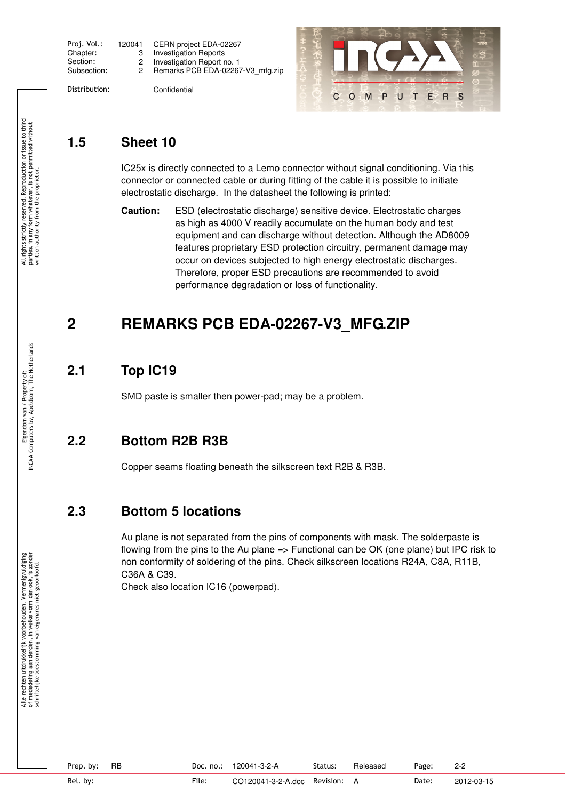| Proj. Vol.: | 1200 |
|-------------|------|
| Chapter:    |      |
| Section:    |      |
| Subsection: |      |
|             |      |

| Proj. Vol.: | 120041 | CERN project EDA-02267           |
|-------------|--------|----------------------------------|
| Chapter:    |        | Investigation Reports            |
| Section:    |        | Investigation Report no. 1       |
| Subsection: |        | Remarks PCB EDA-02267-V3 mfg.zip |

Distribution: Confidential

 $\mathbf C$  $O$   $M$   $P$ UTER <sub>S</sub>

### **1.5 Sheet 10**

IC25x is directly connected to a Lemo connector without signal conditioning. Via this connector or connected cable or during fitting of the cable it is possible to initiate electrostatic discharge. In the datasheet the following is printed:

**Caution:** ESD (electrostatic discharge) sensitive device. Electrostatic charges as high as 4000 V readily accumulate on the human body and test equipment and can discharge without detection. Although the AD8009 features proprietary ESD protection circuitry, permanent damage may occur on devices subjected to high energy electrostatic discharges. Therefore, proper ESD precautions are recommended to avoid performance degradation or loss of functionality.

## **2 REMARKS PCB EDA-02267-V3\_MFG.ZIP**

### **2.1 Top IC19**

SMD paste is smaller then power-pad; may be a problem.

### **2.2 Bottom R2B R3B**

Copper seams floating beneath the silkscreen text R2B & R3B.

### **2.3 Bottom 5 locations**

Au plane is not separated from the pins of components with mask. The solderpaste is flowing from the pins to the Au plane => Functional can be OK (one plane) but IPC risk to non conformity of soldering of the pins. Check silkscreen locations R24A, C8A, R11B, C36A & C39.

Check also location IC16 (powerpad).

Prep. by: RB Doc. no.: 120041-3-2-A Status: Released Page: 2-2